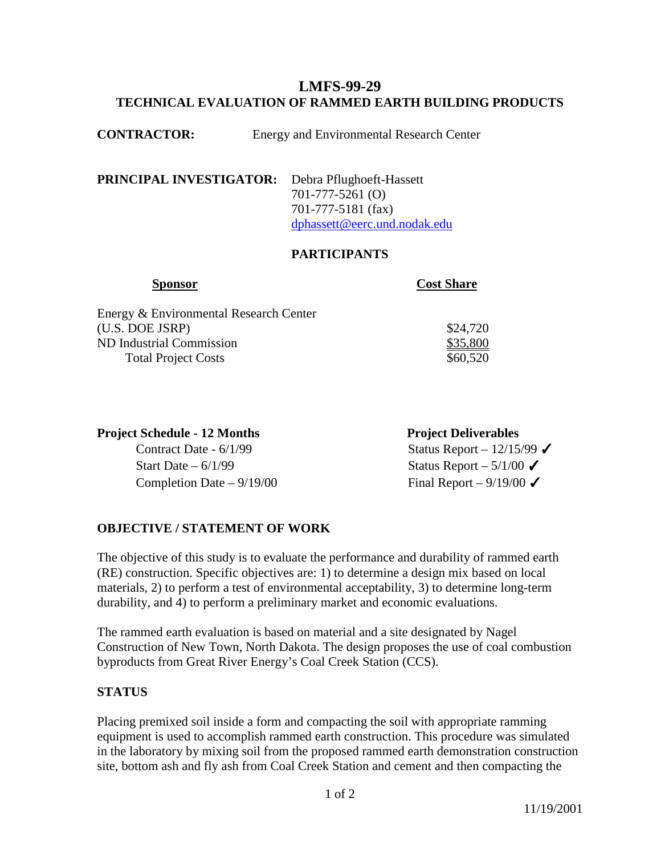## **LMFS-99-29 TECHNICAL EVALUATION OF RAMMED EARTH BUILDING PRODUCTS**

**PRINCIPAL INVESTIGATOR:** Debra Pflughoeft-Hassett 701-777-5261 (O) 701-777-5181 (fax) [dphassett@eerc.und.nodak.edu](mailto:dphassett@eerc.und.nodak.edu)

## **PARTICIPANTS**

| <b>Sponsor</b>                         | <b>Cost Share</b> |
|----------------------------------------|-------------------|
| Energy & Environmental Research Center |                   |
| (U.S. DOE JSRP)                        | \$24,720          |
| ND Industrial Commission               | \$35,800          |
| <b>Total Project Costs</b>             | \$60,520          |

| <b>Project Schedule - 12 Months</b> | <b>Project Deliverables</b> |
|-------------------------------------|-----------------------------|
| Contract Date - $6/1/99$            | Status Report – $12/15/99$  |
| Start Date $-6/1/99$                | Status Report $-5/1/00$     |
| Completion Date $-9/19/00$          | Final Report – $9/19/00$    |

## **OBJECTIVE / STATEMENT OF WORK**

The objective of this study is to evaluate the performance and durability of rammed earth (RE) construction. Specific objectives are: 1) to determine a design mix based on local materials, 2) to perform a test of environmental acceptability, 3) to determine long-term durability, and 4) to perform a preliminary market and economic evaluations.

The rammed earth evaluation is based on material and a site designated by Nagel Construction of New Town, North Dakota. The design proposes the use of coal combustion byproducts from Great River Energy's Coal Creek Station (CCS).

## **STATUS**

Placing premixed soil inside a form and compacting the soil with appropriate ramming equipment is used to accomplish rammed earth construction. This procedure was simulated in the laboratory by mixing soil from the proposed rammed earth demonstration construction site, bottom ash and fly ash from Coal Creek Station and cement and then compacting the